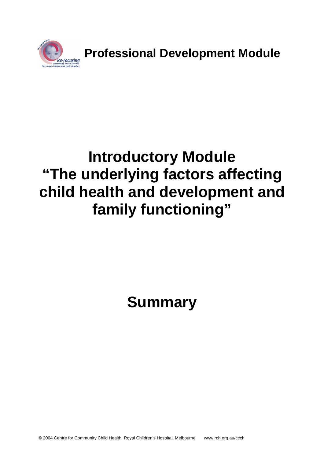

**Professional Development Module**

# **Introductory Module "The underlying factors affecting child health and development and family functioning"**

**Summary**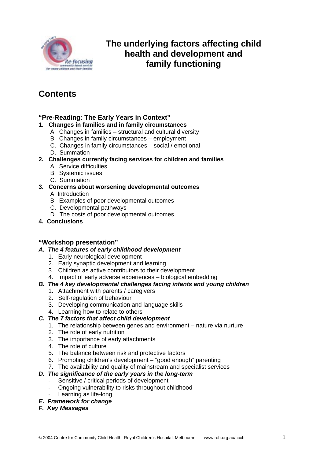

# **The underlying factors affecting child health and development and family functioning**

# **Contents**

#### **"Pre-Reading: The Early Years in Context"**

- **1. Changes in families and in family circumstances**
	- A. Changes in families structural and cultural diversity
	- B. Changes in family circumstances employment
	- C. Changes in family circumstances social / emotional
	- D. Summation
- **2. Challenges currently facing services for children and families**
	- A. Service difficulties
	- B. Systemic issues
	- C. Summation

#### **3. Concerns about worsening developmental outcomes**

- A. Introduction
- B. Examples of poor developmental outcomes
- C. Developmental pathways
- D. The costs of poor developmental outcomes
- **4. Conclusions**

#### **"Workshop presentation"**

- *A. The 4 features of early childhood development*
	- 1. Early neurological development
	- 2. Early synaptic development and learning
	- 3. Children as active contributors to their development
	- 4. Impact of early adverse experiences biological embedding

#### *B. The 4 key developmental challenges facing infants and young children*

- 1. Attachment with parents / caregivers
- 2. Self-regulation of behaviour
- 3. Developing communication and language skills
- 4. Learning how to relate to others

#### *C. The 7 factors that affect child development*

- 1. The relationship between genes and environment nature via nurture
- 2. The role of early nutrition
- 3. The importance of early attachments
- 4. The role of culture
- 5. The balance between risk and protective factors
- 6. Promoting children's development "good enough" parenting
- 7. The availability and quality of mainstream and specialist services

#### *D. The significance of the early years in the long-term*

- Sensitive / critical periods of development
- Ongoing vulnerability to risks throughout childhood
- Learning as life-long
- *E. Framework for change*
- *F. Key Messages*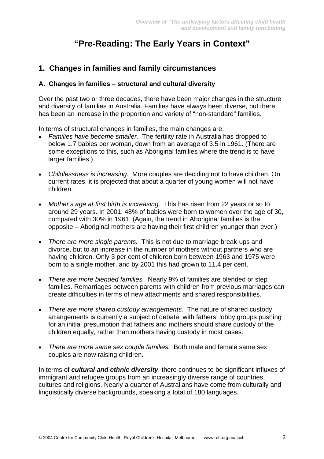# **"Pre-Reading: The Early Years in Context"**

## **1. Changes in families and family circumstances**

#### **A. Changes in families – structural and cultural diversity**

Over the past two or three decades, there have been major changes in the structure and diversity of families in Australia. Families have always been diverse, but there has been an increase in the proportion and variety of "non-standard" families.

In terms of structural changes in families, the main changes are:

- *Families have become smaller.* The fertility rate in Australia has dropped to below 1.7 babies per woman, down from an average of 3.5 in 1961. (There are some exceptions to this, such as Aboriginal families where the trend is to have larger families.)
- *Childlessness is increasing.* More couples are deciding not to have children. On current rates, it is projected that about a quarter of young women will not have children.
- *Mother's age at first birth is increasing.* This has risen from 22 years or so to around 29 years. In 2001, 48% of babies were born to women over the age of 30, compared with 30% in 1961. (Again, the trend in Aboriginal families is the opposite – Aboriginal mothers are having their first children younger than ever.)
- *There are more single parents.* This is not due to marriage break-ups and divorce, but to an increase in the number of mothers without partners who are having children. Only 3 per cent of children born between 1963 and 1975 were born to a single mother, and by 2001 this had grown to 11.4 per cent.
- *There are more blended families.* Nearly 9% of families are blended or step families. Remarriages between parents with children from previous marriages can create difficulties in terms of new attachments and shared responsibilities.
- *There are more shared custody arrangements.* The nature of shared custody arrangements is currently a subject of debate, with fathers' lobby groups pushing for an initial presumption that fathers and mothers should share custody of the children equally, rather than mothers having custody in most cases.
- *There are more same sex couple families.* Both male and female same sex couples are now raising children.

In terms of *cultural and ethnic diversity*, there continues to be significant influxes of immigrant and refugee groups from an increasingly diverse range of countries, cultures and religions. Nearly a quarter of Australians have come from culturally and linguistically diverse backgrounds, speaking a total of 180 languages.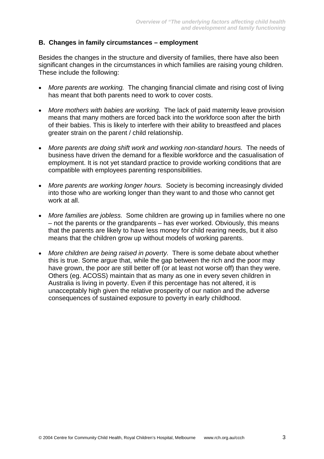#### **B. Changes in family circumstances – employment**

Besides the changes in the structure and diversity of families, there have also been significant changes in the circumstances in which families are raising young children. These include the following:

- *More parents are working.* The changing financial climate and rising cost of living has meant that both parents need to work to cover costs.
- *More mothers with babies are working.* The lack of paid maternity leave provision means that many mothers are forced back into the workforce soon after the birth of their babies. This is likely to interfere with their ability to breastfeed and places areater strain on the parent / child relationship.
- *More parents are doing shift work and working non-standard hours.* The needs of business have driven the demand for a flexible workforce and the casualisation of employment. It is not yet standard practice to provide working conditions that are compatible with employees parenting responsibilities.
- *More parents are working longer hours.* Society is becoming increasingly divided into those who are working longer than they want to and those who cannot get work at all.
- *More families are jobless.* Some children are growing up in families where no one – not the parents or the grandparents – has ever worked. Obviously, this means that the parents are likely to have less money for child rearing needs, but it also means that the children grow up without models of working parents.
- *More children are being raised in poverty.* There is some debate about whether this is true. Some argue that, while the gap between the rich and the poor may have grown, the poor are still better off (or at least not worse off) than they were. Others (eg. ACOSS) maintain that as many as one in every seven children in Australia is living in poverty. Even if this percentage has not altered, it is unacceptably high given the relative prosperity of our nation and the adverse consequences of sustained exposure to poverty in early childhood.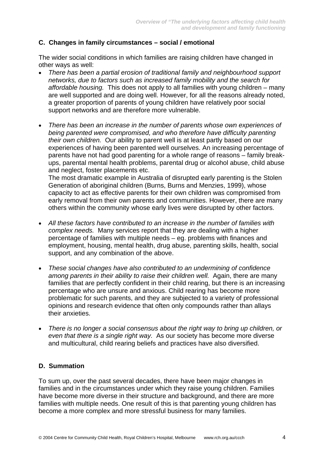#### **C. Changes in family circumstances – social / emotional**

The wider social conditions in which families are raising children have changed in other ways as well:

- *There has been a partial erosion of traditional family and neighbourhood support networks, due to factors such as increased family mobility and the search for affordable housing.* This does not apply to all families with young children – many are well supported and are doing well. However, for all the reasons already noted, a greater proportion of parents of young children have relatively poor social support networks and are therefore more vulnerable.
- *There has been an increase in the number of parents whose own experiences of being parented were compromised, and who therefore have difficulty parenting their own children.* Our ability to parent well is at least partly based on our experiences of having been parented well ourselves. An increasing percentage of parents have not had good parenting for a whole range of reasons – family breakups, parental mental health problems, parental drug or alcohol abuse, child abuse and neglect, foster placements etc.

The most dramatic example in Australia of disrupted early parenting is the Stolen Generation of aboriginal children (Burns, Burns and Menzies, 1999), whose capacity to act as effective parents for their own children was compromised from early removal from their own parents and communities. However, there are many others within the community whose early lives were disrupted by other factors.

- *All these factors have contributed to an increase in the number of families with complex needs.* Many services report that they are dealing with a higher percentage of families with multiple needs – eg. problems with finances and employment, housing, mental health, drug abuse, parenting skills, health, social support, and any combination of the above.
- *These social changes have also contributed to an undermining of confidence among parents in their ability to raise their children well.* Again, there are many families that are perfectly confident in their child rearing, but there is an increasing percentage who are unsure and anxious. Child rearing has become more problematic for such parents, and they are subjected to a variety of professional opinions and research evidence that often only compounds rather than allays their anxieties.
- *There is no longer a social consensus about the right way to bring up children, or even that there is a single right way.* As our society has become more diverse and multicultural, child rearing beliefs and practices have also diversified.

#### **D. Summation**

To sum up, over the past several decades, there have been major changes in families and in the circumstances under which they raise young children. Families have become more diverse in their structure and background, and there are more families with multiple needs. One result of this is that parenting young children has become a more complex and more stressful business for many families.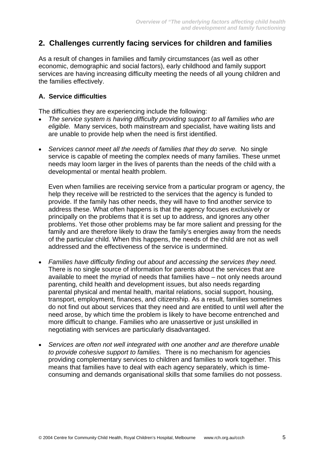## **2. Challenges currently facing services for children and families**

As a result of changes in families and family circumstances (as well as other economic, demographic and social factors), early childhood and family support services are having increasing difficulty meeting the needs of all young children and the families effectively.

#### **A. Service difficulties**

The difficulties they are experiencing include the following:

- *The service system is having difficulty providing support to all families who are eligible.* Many services, both mainstream and specialist, have waiting lists and are unable to provide help when the need is first identified.
- *Services cannot meet all the needs of families that they do serve.* No single service is capable of meeting the complex needs of many families. These unmet needs may loom larger in the lives of parents than the needs of the child with a developmental or mental health problem.

Even when families are receiving service from a particular program or agency, the help they receive will be restricted to the services that the agency is funded to provide. If the family has other needs, they will have to find another service to address these. What often happens is that the agency focuses exclusively or principally on the problems that it is set up to address, and ignores any other problems. Yet those other problems may be far more salient and pressing for the family and are therefore likely to draw the family's energies away from the needs of the particular child. When this happens, the needs of the child are not as well addressed and the effectiveness of the service is undermined.

- *Families have difficulty finding out about and accessing the services they need.* There is no single source of information for parents about the services that are available to meet the myriad of needs that families have – not only needs around parenting, child health and development issues, but also needs regarding parental physical and mental health, marital relations, social support, housing, transport, employment, finances, and citizenship. As a result, families sometimes do not find out about services that they need and are entitled to until well after the need arose, by which time the problem is likely to have become entrenched and more difficult to change. Families who are unassertive or just unskilled in negotiating with services are particularly disadvantaged.
- *Services are often not well integrated with one another and are therefore unable to provide cohesive support to families.* There is no mechanism for agencies providing complementary services to children and families to work together. This means that families have to deal with each agency separately, which is timeconsuming and demands organisational skills that some families do not possess.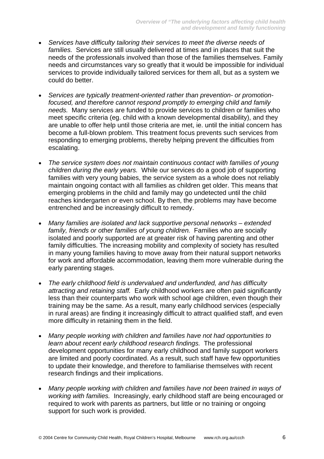- *Services have difficulty tailoring their services to meet the diverse needs of families.* Services are still usually delivered at times and in places that suit the needs of the professionals involved than those of the families themselves. Family needs and circumstances vary so greatly that it would be impossible for individual services to provide individually tailored services for them all, but as a system we could do better.
- *Services are typically treatment-oriented rather than prevention- or promotionfocused, and therefore cannot respond promptly to emerging child and family needs.* Many services are funded to provide services to children or families who meet specific criteria (eg. child with a known developmental disability), and they are unable to offer help until those criteria are met, ie. until the initial concern has become a full-blown problem. This treatment focus prevents such services from responding to emerging problems, thereby helping prevent the difficulties from escalating.
- *The service system does not maintain continuous contact with families of young children during the early years.* While our services do a good job of supporting families with very young babies, the service system as a whole does not reliably maintain ongoing contact with all families as children get older. This means that emerging problems in the child and family may go undetected until the child reaches kindergarten or even school. By then, the problems may have become entrenched and be increasingly difficult to remedy.
- *Many families are isolated and lack supportive personal networks extended family, friends or other families of young children.* Families who are socially isolated and poorly supported are at greater risk of having parenting and other family difficulties. The increasing mobility and complexity of society has resulted in many young families having to move away from their natural support networks for work and affordable accommodation, leaving them more vulnerable during the early parenting stages.
- *The early childhood field is undervalued and underfunded, and has difficulty attracting and retaining staff.* Early childhood workers are often paid significantly less than their counterparts who work with school age children, even though their training may be the same. As a result, many early childhood services (especially in rural areas) are finding it increasingly difficult to attract qualified staff, and even more difficulty in retaining them in the field.
- *Many people working with children and families have not had opportunities to learn about recent early childhood research findings.* The professional development opportunities for many early childhood and family support workers are limited and poorly coordinated. As a result, such staff have few opportunities to update their knowledge, and therefore to familiarise themselves with recent research findings and their implications.
- *Many people working with children and families have not been trained in ways of working with families.* Increasingly, early childhood staff are being encouraged or required to work with parents as partners, but little or no training or ongoing support for such work is provided.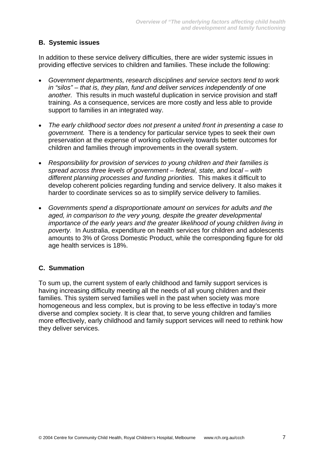#### **B. Systemic issues**

In addition to these service delivery difficulties, there are wider systemic issues in providing effective services to children and families. These include the following:

- *Government departments, research disciplines and service sectors tend to work in "silos" – that is, they plan, fund and deliver services independently of one another.* This results in much wasteful duplication in service provision and staff training. As a consequence, services are more costly and less able to provide support to families in an integrated way.
- *The early childhood sector does not present a united front in presenting a case to government.* There is a tendency for particular service types to seek their own preservation at the expense of working collectively towards better outcomes for children and families through improvements in the overall system.
- *Responsibility for provision of services to young children and their families is spread across three levels of government – federal, state, and local – with different planning processes and funding priorities.* This makes it difficult to develop coherent policies regarding funding and service delivery. It also makes it harder to coordinate services so as to simplify service delivery to families.
- *Governments spend a disproportionate amount on services for adults and the aged, in comparison to the very young, despite the greater developmental importance of the early years and the greater likelihood of young children living in poverty.* In Australia, expenditure on health services for children and adolescents amounts to 3% of Gross Domestic Product, while the corresponding figure for old age health services is 18%.

#### **C. Summation**

To sum up, the current system of early childhood and family support services is having increasing difficulty meeting all the needs of all young children and their families. This system served families well in the past when society was more homogeneous and less complex, but is proving to be less effective in today's more diverse and complex society. It is clear that, to serve young children and families more effectively, early childhood and family support services will need to rethink how they deliver services.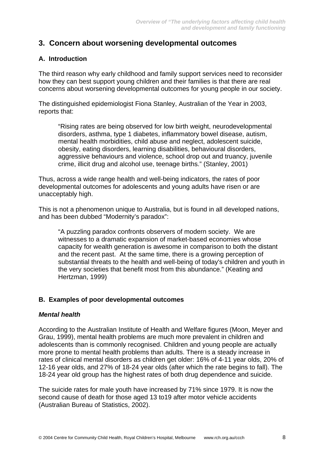## **3. Concern about worsening developmental outcomes**

## **A. Introduction**

The third reason why early childhood and family support services need to reconsider how they can best support young children and their families is that there are real concerns about worsening developmental outcomes for young people in our society.

The distinguished epidemiologist Fiona Stanley, Australian of the Year in 2003, reports that:

"Rising rates are being observed for low birth weight, neurodevelopmental disorders, asthma, type 1 diabetes, inflammatory bowel disease, autism, mental health morbidities, child abuse and neglect, adolescent suicide, obesity, eating disorders, learning disabilities, behavioural disorders, aggressive behaviours and violence, school drop out and truancy, juvenile crime, illicit drug and alcohol use, teenage births." (Stanley, 2001)

Thus, across a wide range health and well-being indicators, the rates of poor developmental outcomes for adolescents and young adults have risen or are unacceptably high.

This is not a phenomenon unique to Australia, but is found in all developed nations, and has been dubbed "Modernity's paradox":

"A puzzling paradox confronts observers of modern society. We are witnesses to a dramatic expansion of market-based economies whose capacity for wealth generation is awesome in comparison to both the distant and the recent past. At the same time, there is a growing perception of substantial threats to the health and well-being of today's children and youth in the very societies that benefit most from this abundance." (Keating and Hertzman, 1999)

#### **B. Examples of poor developmental outcomes**

#### *Mental health*

According to the Australian Institute of Health and Welfare figures (Moon, Meyer and Grau, 1999), mental health problems are much more prevalent in children and adolescents than is commonly recognised. Children and young people are actually more prone to mental health problems than adults. There is a steady increase in rates of clinical mental disorders as children get older: 16% of 4-11 year olds, 20% of 12-16 year olds, and 27% of 18-24 year olds (after which the rate begins to fall). The 18-24 year old group has the highest rates of both drug dependence and suicide.

The suicide rates for male youth have increased by 71% since 1979. It is now the second cause of death for those aged 13 to19 after motor vehicle accidents (Australian Bureau of Statistics, 2002).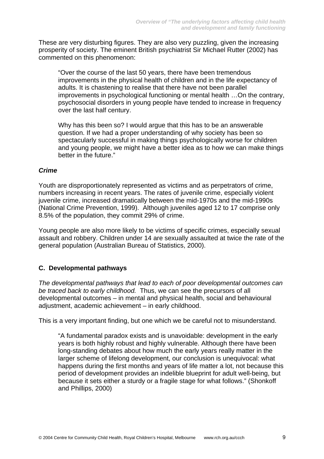These are very disturbing figures. They are also very puzzling, given the increasing prosperity of society. The eminent British psychiatrist Sir Michael Rutter (2002) has commented on this phenomenon:

"Over the course of the last 50 years, there have been tremendous improvements in the physical health of children and in the life expectancy of adults. It is chastening to realise that there have not been parallel improvements in psychological functioning or mental health …On the contrary, psychosocial disorders in young people have tended to increase in frequency over the last half century.

Why has this been so? I would argue that this has to be an answerable question. If we had a proper understanding of why society has been so spectacularly successful in making things psychologically worse for children and young people, we might have a better idea as to how we can make things better in the future."

#### *Crime*

Youth are disproportionately represented as victims and as perpetrators of crime, numbers increasing in recent years. The rates of juvenile crime, especially violent iuvenile crime, increased dramatically between the mid-1970s and the mid-1990s (National Crime Prevention, 1999). Although juveniles aged 12 to 17 comprise only 8.5% of the population, they commit 29% of crime.

Young people are also more likely to be victims of specific crimes, especially sexual assault and robbery. Children under 14 are sexually assaulted at twice the rate of the general population (Australian Bureau of Statistics, 2000).

#### **C. Developmental pathways**

*The developmental pathways that lead to each of poor developmental outcomes can be traced back to early childhood.* Thus, we can see the precursors of all developmental outcomes – in mental and physical health, social and behavioural adjustment, academic achievement – in early childhood.

This is a very important finding, but one which we be careful not to misunderstand.

"A fundamental paradox exists and is unavoidable: development in the early years is both highly robust and highly vulnerable. Although there have been long-standing debates about how much the early years really matter in the larger scheme of lifelong development, our conclusion is unequivocal: what happens during the first months and years of life matter a lot, not because this period of development provides an indelible blueprint for adult well-being, but because it sets either a sturdy or a fragile stage for what follows." (Shonkoff and Phillips, 2000)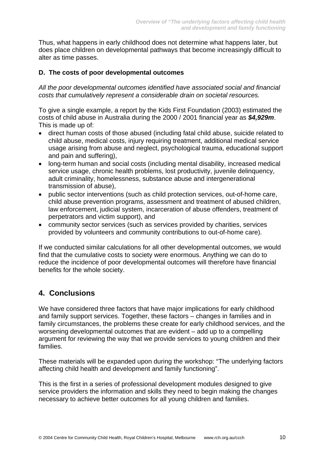Thus, what happens in early childhood does not determine what happens later, but does place children on developmental pathways that become increasingly difficult to alter as time passes.

#### **D. The costs of poor developmental outcomes**

*All the poor developmental outcomes identified have associated social and financial costs that cumulatively represent a considerable drain on societal resources.*

To give a single example, a report by the Kids First Foundation (2003) estimated the costs of child abuse in Australia during the 2000 / 2001 financial year as *\$4,929m*. This is made up of:

- direct human costs of those abused (including fatal child abuse, suicide related to child abuse, medical costs, injury requiring treatment, additional medical service usage arising from abuse and neglect, psychological trauma, educational support and pain and suffering),
- long-term human and social costs (including mental disability, increased medical service usage, chronic health problems, lost productivity, juvenile delinquency, adult criminality, homelessness, substance abuse and intergenerational transmission of abuse),
- public sector interventions (such as child protection services, out-of-home care, child abuse prevention programs, assessment and treatment of abused children, law enforcement, judicial system, incarceration of abuse offenders, treatment of perpetrators and victim support), and
- community sector services (such as services provided by charities, services provided by volunteers and community contributions to out-of-home care).

If we conducted similar calculations for all other developmental outcomes, we would find that the cumulative costs to society were enormous. Anything we can do to reduce the incidence of poor developmental outcomes will therefore have financial benefits for the whole society.

## **4. Conclusions**

We have considered three factors that have major implications for early childhood and family support services. Together, these factors – changes in families and in family circumstances, the problems these create for early childhood services, and the worsening developmental outcomes that are evident – add up to a compelling argument for reviewing the way that we provide services to young children and their families.

These materials will be expanded upon during the workshop: "The underlying factors affecting child health and development and family functioning".

This is the first in a series of professional development modules designed to give service providers the information and skills they need to begin making the changes necessary to achieve better outcomes for all young children and families.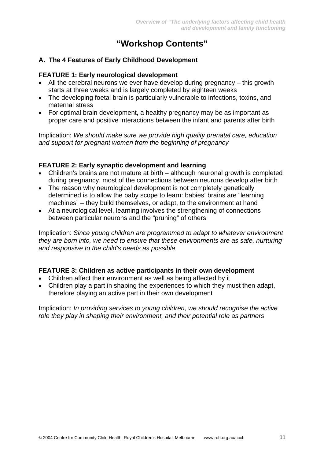# **"Workshop Contents"**

#### **A. The 4 Features of Early Childhood Development**

#### **FEATURE 1: Early neurological development**

- All the cerebral neurons we ever have develop during pregnancy this growth starts at three weeks and is largely completed by eighteen weeks
- The developing foetal brain is particularly vulnerable to infections, toxins, and maternal stress
- For optimal brain development, a healthy pregnancy may be as important as proper care and positive interactions between the infant and parents after birth

Implication: *We should make sure we provide high quality prenatal care, education and support for pregnant women from the beginning of pregnancy*

#### **FEATURE 2: Early synaptic development and learning**

- Children's brains are not mature at birth although neuronal growth is completed during pregnancy, most of the connections between neurons develop after birth
- The reason why neurological development is not completely genetically determined is to allow the baby scope to learn: babies' brains are "learning machines" – they build themselves, or adapt, to the environment at hand
- At a neurological level, learning involves the strengthening of connections between particular neurons and the "pruning" of others

Implication: *Since young children are programmed to adapt to whatever environment they are born into, we need to ensure that these environments are as safe, nurturing and responsive to the child's needs as possible*

#### **FEATURE 3: Children as active participants in their own development**

- Children affect their environment as well as being affected by it
- Children play a part in shaping the experiences to which they must then adapt, therefore playing an active part in their own development

Implication: *In providing services to young children, we should recognise the active role they play in shaping their environment, and their potential role as partners*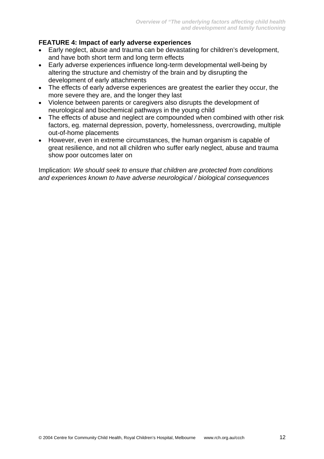### **FEATURE 4: Impact of early adverse experiences**

- Early neglect, abuse and trauma can be devastating for children's development, and have both short term and long term effects
- Early adverse experiences influence long-term developmental well-being by altering the structure and chemistry of the brain and by disrupting the development of early attachments
- The effects of early adverse experiences are greatest the earlier they occur, the more severe they are, and the longer they last
- Violence between parents or caregivers also disrupts the development of neurological and biochemical pathways in the young child
- The effects of abuse and neglect are compounded when combined with other risk factors, eg. maternal depression, poverty, homelessness, overcrowding, multiple out-of-home placements
- However, even in extreme circumstances, the human organism is capable of great resilience, and not all children who suffer early neglect, abuse and trauma show poor outcomes later on

Implication: *We should seek to ensure that children are protected from conditions and experiences known to have adverse neurological / biological consequences*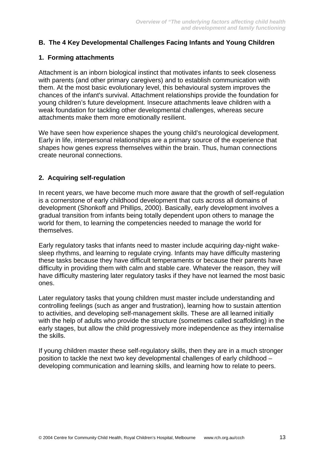#### **B. The 4 Key Developmental Challenges Facing Infants and Young Children**

#### **1. Forming attachments**

Attachment is an inborn biological instinct that motivates infants to seek closeness with parents (and other primary caregivers) and to establish communication with them. At the most basic evolutionary level, this behavioural system improves the chances of the infant's survival. Attachment relationships provide the foundation for young children's future development. Insecure attachments leave children with a weak foundation for tackling other developmental challenges, whereas secure attachments make them more emotionally resilient.

We have seen how experience shapes the young child's neurological development. Early in life, interpersonal relationships are a primary source of the experience that shapes how genes express themselves within the brain. Thus, human connections create neuronal connections.

#### **2. Acquiring self-regulation**

In recent years, we have become much more aware that the growth of self-regulation is a cornerstone of early childhood development that cuts across all domains of development (Shonkoff and Phillips, 2000). Basically, early development involves a gradual transition from infants being totally dependent upon others to manage the world for them, to learning the competencies needed to manage the world for themselves.

Early regulatory tasks that infants need to master include acquiring day-night wakesleep rhythms, and learning to regulate crying. Infants may have difficulty mastering these tasks because they have difficult temperaments or because their parents have difficulty in providing them with calm and stable care. Whatever the reason, they will have difficulty mastering later regulatory tasks if they have not learned the most basic ones.

Later regulatory tasks that young children must master include understanding and controlling feelings (such as anger and frustration), learning how to sustain attention to activities, and developing self-management skills. These are all learned initially with the help of adults who provide the structure (sometimes called scaffolding) in the early stages, but allow the child progressively more independence as they internalise the skills.

If young children master these self-regulatory skills, then they are in a much stronger position to tackle the next two key developmental challenges of early childhood – developing communication and learning skills, and learning how to relate to peers.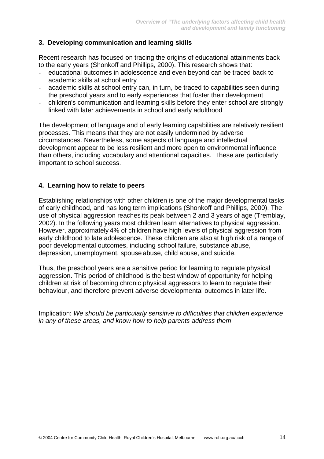#### **3. Developing communication and learning skills**

Recent research has focused on tracing the origins of educational attainments back to the early years (Shonkoff and Phillips, 2000). This research shows that:

- educational outcomes in adolescence and even beyond can be traced back to academic skills at school entry
- academic skills at school entry can, in turn, be traced to capabilities seen during the preschool years and to early experiences that foster their development
- children's communication and learning skills before they enter school are strongly linked with later achievements in school and early adulthood

The development of language and of early learning capabilities are relatively resilient processes. This means that they are not easily undermined by adverse circumstances. Nevertheless, some aspects of language and intellectual development appear to be less resilient and more open to environmental influence than others, including vocabulary and attentional capacities. These are particularly important to school success.

#### **4. Learning how to relate to peers**

Establishing relationships with other children is one of the major developmental tasks of early childhood, and has long term implications (Shonkoff and Phillips, 2000). The use of physical aggression reaches its peak between 2 and 3 years of age (Tremblay, 2002). In the following years most children learn alternatives to physical aggression. However, approximately 4% of children have high levels of physical aggression from early childhood to late adolescence. These children are also at high risk of a range of poor developmental outcomes, including school failure, substance abuse, depression, unemployment, spouse abuse, child abuse, and suicide.

Thus, the preschool years are a sensitive period for learning to regulate physical aggression. This period of childhood is the best window of opportunity for helping children at risk of becoming chronic physical aggressors to learn to regulate their behaviour, and therefore prevent adverse developmental outcomes in later life.

Implication: *We should be particularly sensitive to difficulties that children experience in any of these areas, and know how to help parents address them*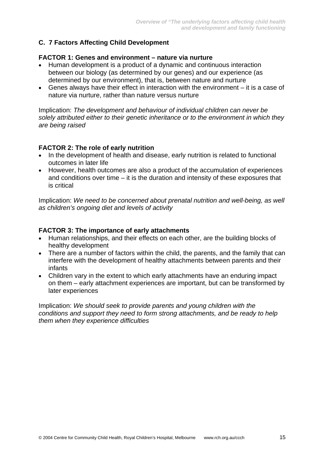## **C. 7 Factors Affecting Child Development**

#### **FACTOR 1: Genes and environment – nature via nurture**

- Human development is a product of a dynamic and continuous interaction between our biology (as determined by our genes) and our experience (as determined by our environment), that is, between nature and nurture
- Genes always have their effect in interaction with the environment it is a case of nature via nurture, rather than nature versus nurture

Implication: *The development and behaviour of individual children can never be solely attributed either to their genetic inheritance or to the environment in which they are being raised*

#### **FACTOR 2: The role of early nutrition**

- In the development of health and disease, early nutrition is related to functional outcomes in later life
- However, health outcomes are also a product of the accumulation of experiences and conditions over time – it is the duration and intensity of these exposures that is critical

Implication: *We need to be concerned about prenatal nutrition and well-being, as well as children's ongoing diet and levels of activity*

#### **FACTOR 3: The importance of early attachments**

- Human relationships, and their effects on each other, are the building blocks of healthy development
- There are a number of factors within the child, the parents, and the family that can interfere with the development of healthy attachments between parents and their infants
- Children vary in the extent to which early attachments have an enduring impact on them – early attachment experiences are important, but can be transformed by later experiences

Implication: *We should seek to provide parents and young children with the conditions and support they need to form strong attachments, and be ready to help them when they experience difficulties*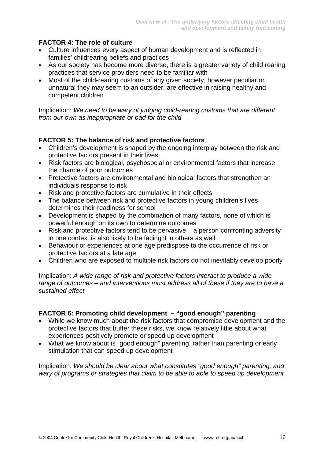## **FACTOR 4: The role of culture**

- Culture influences every aspect of human development and is reflected in families' childrearing beliefs and practices
- As our society has become more diverse, there is a greater variety of child rearing practices that service providers need to be familiar with
- Most of the child-rearing customs of any given society, however peculiar or unnatural they may seem to an outsider, are effective in raising healthy and competent children

Implication: *We need to be wary of judging child-rearing customs that are different from our own as inappropriate or bad for the child*

## **FACTOR 5: The balance of risk and protective factors**

- Children's development is shaped by the ongoing interplay between the risk and protective factors present in their lives
- Risk factors are biological, psychosocial or environmental factors that increase the chance of poor outcomes
- Protective factors are environmental and biological factors that strengthen an individuals response to risk
- Risk and protective factors are cumulative in their effects
- The balance between risk and protective factors in young children's lives determines their readiness for school
- Development is shaped by the combination of many factors, none of which is powerful enough on its own to determine outcomes
- Risk and protective factors tend to be pervasive a person confronting adversity in one context is also likely to be facing it in others as well
- Behaviour or experiences at one age predispose to the occurrence of risk or protective factors at a late age
- Children who are exposed to multiple risk factors do not inevitably develop poorly

Implication: *A wide range of risk and protective factors interact to produce a wide range of outcomes – and interventions must address all of these if they are to have a sustained effect*

#### **FACTOR 6: Promoting child development – "good enough" parenting**

- While we know much about the risk factors that compromise development and the protective factors that buffer these risks, we know relatively little about what experiences positively promote or speed up development
- What we know about is "good enough" parenting, rather than parenting or early stimulation that can speed up development

Implication: *We should be clear about what constitutes "good enough" parenting, and wary of programs or strategies that claim to be able to able to speed up development*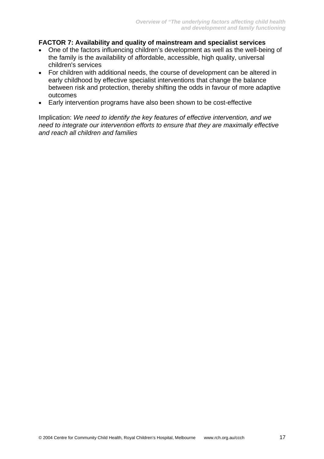#### **FACTOR 7: Availability and quality of mainstream and specialist services**

- One of the factors influencing children's development as well as the well-being of the family is the availability of affordable, accessible, high quality, universal children's services
- For children with additional needs, the course of development can be altered in early childhood by effective specialist interventions that change the balance between risk and protection, thereby shifting the odds in favour of more adaptive outcomes
- Early intervention programs have also been shown to be cost-effective

Implication: *We need to identify the key features of effective intervention, and we need to integrate our intervention efforts to ensure that they are maximally effective and reach all children and families*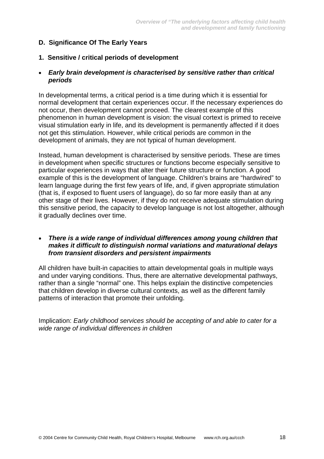## **D. Significance Of The Early Years**

#### **1. Sensitive / critical periods of development**

#### • *Early brain development is characterised by sensitive rather than critical periods*

In developmental terms, a critical period is a time during which it is essential for normal development that certain experiences occur. If the necessary experiences do not occur, then development cannot proceed. The clearest example of this phenomenon in human development is vision: the visual cortext is primed to receive visual stimulation early in life, and its development is permanently affected if it does not get this stimulation. However, while critical periods are common in the development of animals, they are not typical of human development.

Instead, human development is characterised by sensitive periods. These are times in development when specific structures or functions become especially sensitive to particular experiences in ways that alter their future structure or function. A good example of this is the development of language. Children's brains are "hardwired" to learn language during the first few years of life, and, if given appropriate stimulation (that is, if exposed to fluent users of language), do so far more easily than at any other stage of their lives. However, if they do not receive adequate stimulation during this sensitive period, the capacity to develop language is not lost altogether, although it gradually declines over time.

#### • *There is a wide range of individual differences among young children that makes it difficult to distinguish normal variations and maturational delays from transient disorders and persistent impairments*

All children have built-in capacities to attain developmental goals in multiple ways and under varying conditions. Thus, there are alternative developmental pathways, rather than a single "normal" one. This helps explain the distinctive competencies that children develop in diverse cultural contexts, as well as the different family patterns of interaction that promote their unfolding.

Implication: *Early childhood services should be accepting of and able to cater for a wide range of individual differences in children*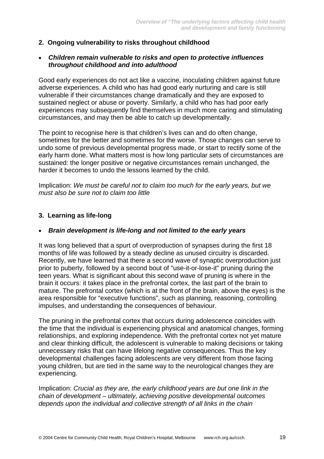#### **2. Ongoing vulnerability to risks throughout childhood**

#### • *Children remain vulnerable to risks and open to protective influences throughout childhood and into adulthood*

Good early experiences do not act like a vaccine, inoculating children against future adverse experiences. A child who has had good early nurturing and care is still vulnerable if their circumstances change dramatically and they are exposed to sustained neglect or abuse or poverty. Similarly, a child who has had poor early experiences may subsequently find themselves in much more caring and stimulating circumstances, and may then be able to catch up developmentally.

The point to recognise here is that children's lives can and do often change, sometimes for the better and sometimes for the worse. Those changes can serve to undo some of previous developmental progress made, or start to rectify some of the early harm done. What matters most is how long particular sets of circumstances are sustained: the longer positive or negative circumstances remain unchanged, the harder it becomes to undo the lessons learned by the child.

Implication: *We must be careful not to claim too much for the early years, but we must also be sure not to claim too little*

#### **3. Learning as life-long**

#### • *Brain development is life-long and not limited to the early years*

It was long believed that a spurt of overproduction of synapses during the first 18 months of life was followed by a steady decline as unused circuitry is discarded. Recently, we have learned that there a second wave of synaptic overproduction just prior to puberty, followed by a second bout of "use-it-or-lose-it" pruning during the teen years. What is significant about this second wave of pruning is where in the brain it occurs: it takes place in the prefrontal cortex, the last part of the brain to mature. The prefrontal cortex (which is at the front of the brain, above the eyes) is the area responsible for "executive functions", such as planning, reasoning, controlling impulses, and understanding the consequences of behaviour.

The pruning in the prefrontal cortex that occurs during adolescence coincides with the time that the individual is experiencing physical and anatomical changes, forming relationships, and exploring independence. With the prefrontal cortex not yet mature and clear thinking difficult, the adolescent is vulnerable to making decisions or taking unnecessary risks that can have lifelong negative consequences. Thus the key developmental challenges facing adolescents are very different from those facing young children, but are tied in the same way to the neurological changes they are experiencing.

Implication: *Crucial as they are, the early childhood years are but one link in the chain of development – ultimately, achieving positive developmental outcomes depends upon the individual and collective strength of all links in the chain*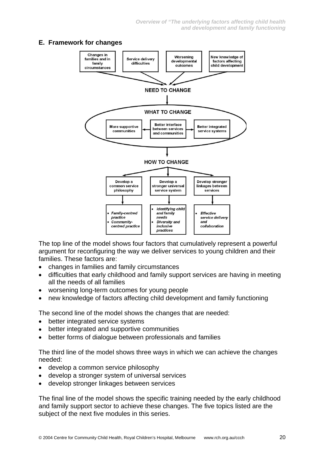## **E. Framework for changes**



The top line of the model shows four factors that cumulatively represent a powerful argument for reconfiguring the way we deliver services to young children and their families. These factors are:

- changes in families and family circumstances
- difficulties that early childhood and family support services are having in meeting all the needs of all families
- worsening long-term outcomes for young people
- new knowledge of factors affecting child development and family functioning

The second line of the model shows the changes that are needed:

- better integrated service systems
- better integrated and supportive communities
- better forms of dialogue between professionals and families

The third line of the model shows three ways in which we can achieve the changes needed:

- develop a common service philosophy
- develop a stronger system of universal services
- develop stronger linkages between services

The final line of the model shows the specific training needed by the early childhood and family support sector to achieve these changes. The five topics listed are the subject of the next five modules in this series.